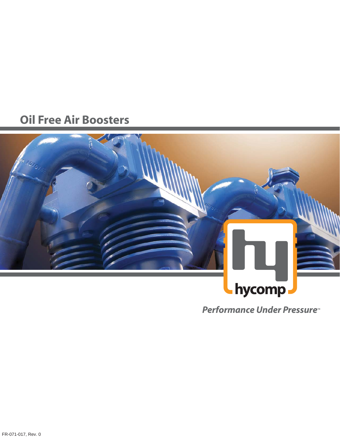# **Oil Free Air Boosters**



**Performance Under Pressure**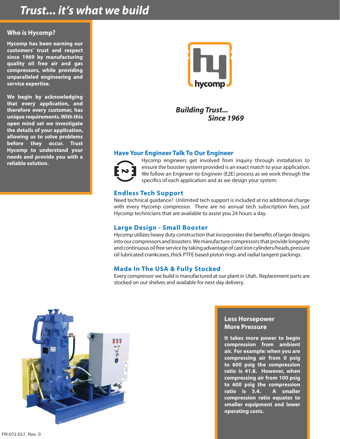# *Trust... it's what we build*

#### **Who is Hycomp?**

**Hycomp has been earning our customers' trust and respect since 1969 by manufacturing quality oil free air and gas compressors, while providing unparalleled engineering and service expertise.** 

**We begin by acknowledging that every application, and therefore every customer, has unique requirements. With this open mind set we investigate the details of your application, allowing us to solve problems before they occur. Trust Hycomp to understand your needs and provide you with a reliable solution.**



*Building Trust... Since 1969*

### **Have Your Engineer Talk To Our Engineer**



Hycomp engineers get involved from inquiry through installation to ensure the booster system provided is an exact match to your application. We follow an Engineer-to-Engineer (E2E) process as we work through the specifics of each application and as we design your system.

### **Endless Tech Support**

Need technical guidance? Unlimited tech support is included at no additional charge with every Hycomp compressor. There are no annual tech subscription fees, just Hycomp technicians that are available to assist you 24 hours a day.

### **Large Design - Small Booster**

Hycomp utilizes heavy duty construction that incorporates the benefits of larger designs into our compressors and boosters. We manufacture compressors that provide longevity and continuous oil free service by taking advantage of cast iron cylinders/heads, pressure oil lubricated crankcases, thick PTFE based piston rings and radial tangent packings.

### **Made In The USA & Fully Stocked**

Every compressor we build is manufactured at our plant in Utah. Replacement parts are stocked on our shelves and available for next day delivery.



### **Less Horsepower More Pressure**

**It takes more power to begin compression from ambient air. For example: when you are compressing air from 0 psig to 600 psig the compression ratio is 41.8. However, when compressing air from 100 psig to 600 psig the compression ratio is 5.4. A smaller compression ratio equates to smaller equipment and lower operating costs.**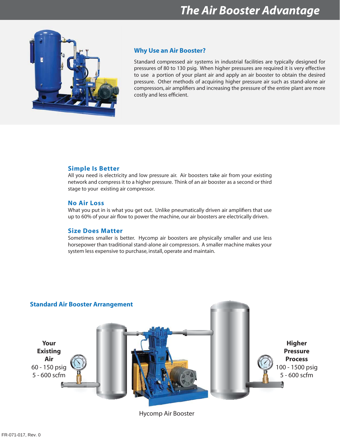

#### **Why Use an Air Booster?**

Standard compressed air systems in industrial facilities are typically designed for pressures of 80 to 130 psig. When higher pressures are required it is very effective to use a portion of your plant air and apply an air booster to obtain the desired pressure. Other methods of acquiring higher pressure air such as stand-alone air compressors, air amplifiers and increasing the pressure of the entire plant are more costly and less efficient.

### **Simple Is Better**

All you need is electricity and low pressure air. Air boosters take air from your existing network and compress it to a higher pressure. Think of an air booster as a second or third stage to your existing air compressor.

#### **No Air Loss**

What you put in is what you get out. Unlike pneumatically driven air amplifiers that use up to 60% of your air flow to power the machine, our air boosters are electrically driven.

#### **Size Does Matter**

Sometimes smaller is better. Hycomp air boosters are physically smaller and use less horsepower than traditional stand-alone air compressors. A smaller machine makes your system less expensive to purchase, install, operate and maintain.



Hycomp Air Booster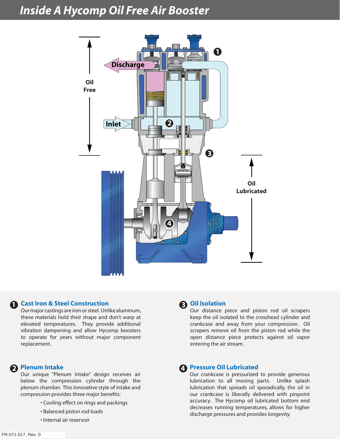# *Inside A Hycomp Oil Free Air Booster*



# **Cast Iron & Steel Construction 1**

Our major castings are iron or steel. Unlike aluminum, these materials hold their shape and don't warp at elevated temperatures. They provide additional vibration dampening and allow Hycomp boosters to operate for years without major component replacement.

# **Plenum Intake 2**

Our unique "Plenum Intake" design receives air below the compression cylinder through the plenum chamber. This innovative style of intake and compression provides three major benefits:

- Cooling effect on rings and packings
- Balanced piston rod loads
- Internal air reservoir

# **Oil Isolation 3**

Our distance piece and piston rod oil scrapers keep the oil isolated to the crosshead cylinder and crankcase and away from your compression. Oil scrapers remove oil from the piston rod while the open distance piece protects against oil vapor entering the air stream.

#### **Pressure Oil Lubricated 4**

Our crankcase is pressurized to provide generous lubrication to all moving parts. Unlike splash lubrication that spreads oil sporadically, the oil in our crankcase is liberally delivered with pinpoint accuracy. The Hycomp oil lubricated bottom end decreases running temperatures, allows for higher discharge pressures and provides longevity.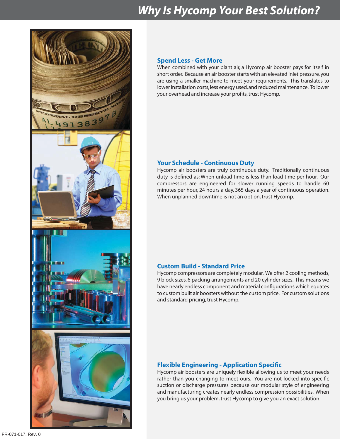# *Why Is Hycomp Your Best Solution?*



#### **Spend Less - Get More**

When combined with your plant air, a Hycomp air booster pays for itself in short order. Because an air booster starts with an elevated inlet pressure, you are using a smaller machine to meet your requirements. This translates to lower installation costs, less energy used, and reduced maintenance. To lower your overhead and increase your profits, trust Hycomp.

#### **Your Schedule - Continuous Duty**

Hycomp air boosters are truly continuous duty. Traditionally continuous duty is defined as: When unload time is less than load time per hour. Our compressors are engineered for slower running speeds to handle 60 minutes per hour, 24 hours a day, 365 days a year of continuous operation. When unplanned downtime is not an option, trust Hycomp.

#### **Custom Build - Standard Price**

Hycomp compressors are completely modular. We offer 2 cooling methods, 9 block sizes, 6 packing arrangements and 20 cylinder sizes. This means we have nearly endless component and material configurations which equates to custom built air boosters without the custom price. For custom solutions and standard pricing, trust Hycomp.

#### **Flexible Engineering - Application Specific**

Hycomp air boosters are uniquely flexible allowing us to meet your needs rather than you changing to meet ours. You are not locked into specific suction or discharge pressures because our modular style of engineering and manufacturing creates nearly endless compression possibilities. When you bring us your problem, trust Hycomp to give you an exact solution.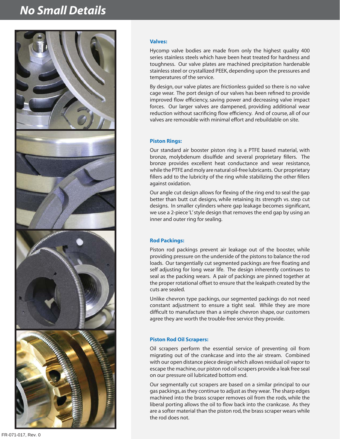# *No Small Details*



#### **Valves:**

Hycomp valve bodies are made from only the highest quality 400 series stainless steels which have been heat treated for hardness and toughness. Our valve plates are machined precipitation hardenable stainless steel or crystallized PEEK, depending upon the pressures and temperatures of the service.

By design, our valve plates are frictionless guided so there is no valve cage wear. The port design of our valves has been refined to provide improved flow efficiency, saving power and decreasing valve impact forces. Our larger valves are dampened, providing additional wear reduction without sacrificing flow efficiency. And of course, all of our valves are removable with minimal effort and rebuildable on site.

#### **Piston Rings:**

Our standard air booster piston ring is a PTFE based material, with bronze, molybdenum disulfide and several proprietary fillers. The bronze provides excellent heat conductance and wear resistance, while the PTFE and moly are natural oil-free lubricants. Our proprietary fillers add to the lubricity of the ring while stabilizing the other fillers against oxidation.

Our angle cut design allows for flexing of the ring end to seal the gap better than butt cut designs, while retaining its strength vs. step cut designs. In smaller cylinders where gap leakage becomes significant, we use a 2-piece 'L' style design that removes the end gap by using an inner and outer ring for sealing.

#### **Rod Packings:**

Piston rod packings prevent air leakage out of the booster, while providing pressure on the underside of the pistons to balance the rod loads. Our tangentially cut segmented packings are free floating and self adjusting for long wear life. The design inherently continues to seal as the packing wears. A pair of packings are pinned together at the proper rotational offset to ensure that the leakpath created by the cuts are sealed.

Unlike chevron type packings, our segmented packings do not need constant adjustment to ensure a tight seal. While they are more difficult to manufacture than a simple chevron shape, our customers agree they are worth the trouble-free service they provide.

#### **Piston Rod Oil Scrapers:**

Oil scrapers perform the essential service of preventing oil from migrating out of the crankcase and into the air stream. Combined with our open distance piece design which allows residual oil vapor to escape the machine, our piston rod oil scrapers provide a leak free seal on our pressure oil lubricated bottom end.

Our segmentally cut scrapers are based on a similar principal to our gas packings, as they continue to adjust as they wear. The sharp edges machined into the brass scraper removes oil from the rods, while the liberal porting allows the oil to flow back into the crankcase. As they are a softer material than the piston rod, the brass scraper wears while the rod does not.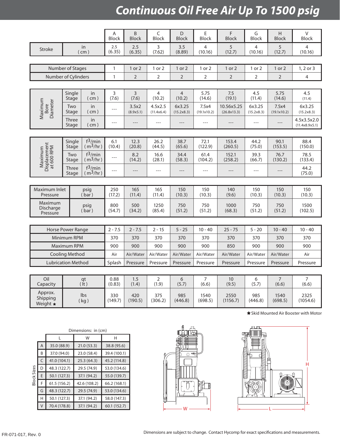# *Continuous Oil Free Air Up To 1500 psig*

|                                       |                 |                                    | A<br>Block     | B<br><b>Block</b>  | C<br><b>Block</b>        | D<br><b>Block</b>        | E<br><b>Block</b>       | F<br><b>Block</b>         | G<br>Block                | H<br><b>Block</b>       | V<br>Block                    |
|---------------------------------------|-----------------|------------------------------------|----------------|--------------------|--------------------------|--------------------------|-------------------------|---------------------------|---------------------------|-------------------------|-------------------------------|
| <b>Stroke</b>                         |                 | in<br>$($ cm $)$                   | 2.5<br>(6.35)  | 2.5<br>(6.35)      | 3<br>(7.62)              | 3.5<br>(8.89)            | 4<br>(10.16)            | 5<br>(12.7)               | $\overline{4}$<br>(10.16) | 5<br>(12.7)             | $\overline{4}$<br>(10.16)     |
|                                       |                 |                                    |                |                    |                          |                          |                         |                           |                           |                         |                               |
| Number of Stages                      |                 |                                    | 1              | 1 or 2             | 1 or 2                   | 1 or 2                   | 1 or 2                  | 1 or 2                    | 1 or 2                    | 1 or 2                  | 1, 2 or 3                     |
| Number of Cylinders                   |                 |                                    | $\mathbf{1}$   | $\overline{2}$     | $\overline{2}$           | $\overline{2}$           | $\overline{2}$          | $\overline{2}$            | $\overline{2}$            | $\overline{2}$          | 4                             |
|                                       |                 |                                    |                |                    |                          |                          |                         |                           |                           |                         |                               |
| Maximum<br>Diameter<br>Bore           | Single<br>Stage | in<br>$($ cm $)$                   | 3<br>(7.6)     | 3<br>(7.6)         | $\overline{4}$<br>(10.2) | $\overline{4}$<br>(10.2) | 5.75<br>(14.6)          | 7.5<br>(19.1)             | 4.5<br>(11.4)             | 5.75<br>(14.6)          | 4.5<br>(11.4)                 |
|                                       | Two<br>Stage    | in<br>( cm )                       | $---$          | 3.5x2<br>(8.9x5.1) | 4.5x2.5<br>(11.4x6.4)    | 6x3.25<br>(15.2x8.3)     | 7.5x4<br>(19.1x10.2)    | 10.56x5.25<br>(26.8x13.3) | 6x3.25<br>(15.2x8.3)      | 7.5x4<br>(19.1x10.2)    | 6x3.25<br>(15.2x8.3)          |
|                                       | Three<br>Stage  | in<br>(cm )                        | $---$          | $---$              | $---$                    | $---$                    | $---$                   | $---$                     | $---$                     | ---                     | 4.5x3.5x2.0<br>(11.4x8.9x5.1) |
|                                       |                 |                                    |                |                    |                          |                          |                         |                           |                           |                         |                               |
| Displacement<br>at 600 RPM<br>Maximum | Single<br>Stage | $f^3$ /min<br>(m <sup>3</sup> /hr) | 6.1<br>(10.4)  | 12.3<br>(20.8)     | 26.2<br>(44.5)           | 38.7<br>(65.6)           | 72.1<br>(122.9)         | 153.4<br>(260.5)          | 44.2<br>(75.0)            | 90.1<br>(153.5)         | 88.4<br>(150.0)               |
|                                       | Two<br>Stage    | $f^3/min$<br>(m <sup>3</sup> /hr)  | $---$          | 8.2<br>(14.2)      | 16.6<br>(28.1)           | 34.4<br>(58.3)           | 61.4<br>(104.2)         | 152.1<br>(258.2)          | 39.3<br>(66.7)            | 76.7<br>(130.2)         | 78.5<br>(133.4)               |
|                                       | Three<br>Stage  | $f^3/min$<br>(m <sup>3</sup> /hr)  | $---$          |                    | $---$                    | $---$                    | $---$                   | ---                       | $---$                     |                         | 44.2<br>(75.0)                |
|                                       |                 |                                    |                |                    |                          |                          |                         |                           |                           |                         |                               |
| Maximum Inlet<br>Pressure             |                 | psig<br>(bar)                      | 250<br>(17.2)  | 165<br>(11.4)      | 165<br>(11.4)            | 150<br>(10.3)            | 150<br>(10.3)           | 140<br>(9.6)              | 150<br>(10.3)             | 150<br>(10.3)           | 150<br>(10.3)                 |
| Maximum<br>Discharge<br>Pressure      |                 | psig<br>(bar)                      | 800<br>(54.7)  | 500<br>(34.2)      | 1250<br>(85.4)           | 750<br>(51.2)            | 750<br>(51.2)           | 1000<br>(68.3)            | 750<br>(51.2)             | 750<br>(51.2)           | 1500<br>(102.5)               |
|                                       |                 |                                    |                |                    |                          |                          |                         |                           |                           |                         |                               |
| Horse Power Range                     |                 | $2 - 7.5$                          | $2 - 7.5$      | $2 - 15$           | $5 - 25$                 | $10 - 40$                | $25 - 75$               | $5 - 20$                  | $10 - 40$                 | $10 - 40$               |                               |
| Minimum RPM                           |                 | 370                                | 370            | 370                | 370                      | 370                      | 370                     | 370                       | 370                       | 370                     |                               |
| <b>Maximum RPM</b>                    |                 | 900                                | 900            | 900                | 900                      | 900                      | 850                     | 900                       | 900                       | 900                     |                               |
| <b>Cooling Method</b>                 |                 | Air                                | Air/Water      | Air/Water          | Air/Water                | Air/Water                | Air/Water               | Air/Water                 | Air/Water                 | Air                     |                               |
| <b>Lubrication Method</b>             |                 |                                    | Splash         | Pressure           | Pressure                 | Pressure                 | Pressure                | Pressure                  | Pressure                  | Pressure                | Pressure                      |
|                                       |                 |                                    |                |                    |                          |                          |                         |                           |                           |                         |                               |
| Oil<br>Capacity                       |                 | qt<br>$($ $\dot{t}$ )              | 0.88<br>(0.83) | 1.5<br>(1.4)       | $\overline{2}$<br>(1.9)  | 6<br>(5.7)               | $\overline{7}$<br>(6.6) | 10<br>(9.5)               | 6<br>(5.7)                | $\overline{7}$<br>(6.6) | $\overline{7}$<br>(6.6)       |
| Approx.<br>Shipping<br>Weight $\star$ |                 | Ibs<br>(kg)                        | 330<br>(149.7) | 420<br>(190.5)     | 375<br>(306.2)           | 985<br>(446.8)           | 1540<br>(698.5)         | 2550<br>(1156.7)          | 985<br>(446.8)            | 1540<br>(698.5)         | 2325<br>(1054.6)              |

**★ Skid Mounted Air Booster with Motor** 

|                |   | Dimensions: in (cm) |              |              |  |  |  |  |  |
|----------------|---|---------------------|--------------|--------------|--|--|--|--|--|
|                |   |                     | W            | Н            |  |  |  |  |  |
| ock Sizes<br>ᄒ | Α | 35.0 (88.9)         | 21.0(53.3)   | 38.8 (95.6)  |  |  |  |  |  |
|                | B | 37.0 (94.0)         | 23.0 (58.4)  | 39.4 (100.1) |  |  |  |  |  |
|                | C | 41.0 (104.1)        | 25.3(64.3)   | 45.2 (114.8) |  |  |  |  |  |
|                | D | 48.3 (122.7)        | 29.5 (74.9)  | 53.0 (134.6) |  |  |  |  |  |
|                | E | 50.1 (127.3)        | 37.1 (94.2)  | 55.0 (139.7) |  |  |  |  |  |
|                | F | 61.5(156.2)         | 42.6 (108.2) | 66.2 (168.1) |  |  |  |  |  |
|                | G | 48.3 (122.7)        | 29.5 (74.9)  | 53.0 (134.6) |  |  |  |  |  |
|                | Н | 50.1 (127.3)        | 37.1 (94.2)  | 58.0 (147.3) |  |  |  |  |  |
|                |   | 70.4 (178.8)        | 37.1 (94.2)  | 60.1 (152.7) |  |  |  |  |  |